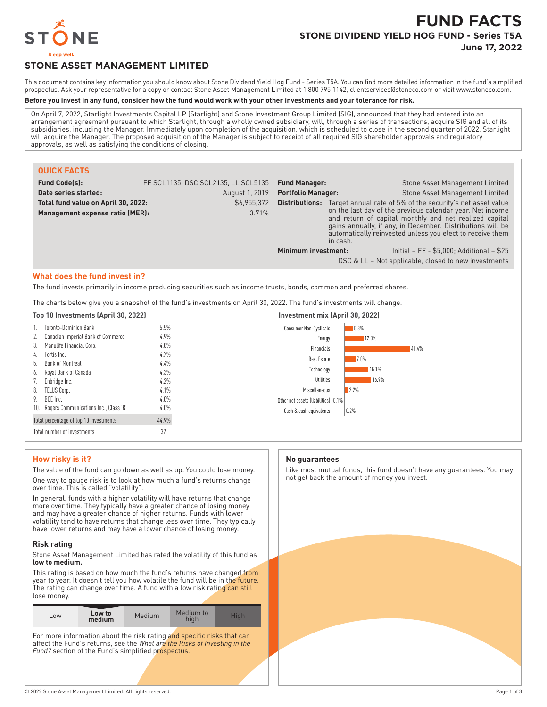

# **FUND FACTS STONE DIVIDEND YIELD HOG FUND - Series T5A June 17, 2022**

## **STONE ASSET MANAGEMENT LIMITED**

This document contains key information you should know about Stone Dividend Yield Hog Fund - Series T5A. You can find more detailed information in the fund's simplified prospectus. Ask your representative for a copy or contact Stone Asset Management Limited at 1 800 795 1142, clientservices@stoneco.com or visit www.stoneco.com.

### **Before you invest in any fund, consider how the fund would work with your other investments and your tolerance for risk.**

On April 7, 2022, Starlight Investments Capital LP (Starlight) and Stone Investment Group Limited (SIG), announced that they had entered into an arrangement agreement pursuant to which Starlight, through a wholly owned subsidiary, will, through a series of transactions, acquire SIG and all of its subsidiaries, including the Manager. Immediately upon completion of the acquisition, which is scheduled to close in the second quarter of 2022, Starlight will acquire the Manager. The proposed acquisition of the Manager is subject to receipt of all required SIG shareholder approvals and regulatory approvals, as well as satisfying the conditions of closing.

| <b>QUICK FACTS</b>                                                                                                                                    |                                     |                           |                                 |                                                                                                                                                                                                                                                                                                                                    |
|-------------------------------------------------------------------------------------------------------------------------------------------------------|-------------------------------------|---------------------------|---------------------------------|------------------------------------------------------------------------------------------------------------------------------------------------------------------------------------------------------------------------------------------------------------------------------------------------------------------------------------|
| <b>Fund Code(s):</b>                                                                                                                                  | FE SCL1135, DSC SCL2135, LL SCL5135 | <b>Fund Manager:</b>      |                                 | Stone Asset Management Limited                                                                                                                                                                                                                                                                                                     |
| Date series started:                                                                                                                                  | August 1, 2019                      | <b>Portfolio Manager:</b> |                                 | Stone Asset Management Limited                                                                                                                                                                                                                                                                                                     |
| Total fund value on April 30, 2022:<br>Management expense ratio (MER):                                                                                | \$6,955,372<br>3.71%                |                           | in cash.                        | <b>Distributions:</b> Target annual rate of 5% of the security's net asset value<br>on the last day of the previous calendar year. Net income<br>and return of capital monthly and net realized capital<br>gains annually, if any, in December. Distributions will be<br>automatically reinvested unless you elect to receive them |
|                                                                                                                                                       |                                     | Minimum investment:       |                                 | Initial - FE - \$5.000: Additional - \$25                                                                                                                                                                                                                                                                                          |
|                                                                                                                                                       |                                     |                           |                                 | DSC & LL – Not applicable, closed to new investments                                                                                                                                                                                                                                                                               |
| What does the fund invest in?<br>The fund invests primarily in income producing securities such as income trusts, bonds, common and preferred shares. |                                     |                           |                                 |                                                                                                                                                                                                                                                                                                                                    |
| The charts below give you a snapshot of the fund's investments on April 30, 2022. The fund's investments will change.                                 |                                     |                           |                                 |                                                                                                                                                                                                                                                                                                                                    |
| Top 10 Investments (April 30, 2022)                                                                                                                   |                                     |                           | Investment mix (April 30, 2022) |                                                                                                                                                                                                                                                                                                                                    |

| TOP TO INVESTMENTS (APTIL 30, ZUZZ)       |         | <u>IIIVESUIIEIIUIIIIX (API IUJU, ZUZZ)</u> |  |  |
|-------------------------------------------|---------|--------------------------------------------|--|--|
| Toronto-Dominion Bank                     | 5.5%    | 5.3%<br><b>Consumer Non-Cyclicals</b>      |  |  |
| Canadian Imperial Bank of Commerce<br>2.  | $4.9\%$ | 12.0%<br>Energy                            |  |  |
| Manulife Financial Corp.<br>3.            | 4.8%    | 41.4%<br>Financials                        |  |  |
| Fortis Inc.<br>4.                         | 4.7%    | 7.0%<br>Real Estate                        |  |  |
| Bank of Montreal<br>b.                    | 4.4%    | 15.1%<br>Technology                        |  |  |
| Royal Bank of Canada<br>6.                | 4.3%    |                                            |  |  |
| Enbridge Inc.<br>7.                       | 4.2%    | Utilities<br>16.9%                         |  |  |
| TELUS Corp.<br>8.                         | 4.1%    | Miscellaneous<br>12.2%                     |  |  |
| BCE Inc.<br>9.                            | 4.0%    | Other net assets (liabilities) -0.1%       |  |  |
| 10. Rogers Communications Inc., Class 'B' | $4.0\%$ | Cash & cash equivalents<br>$0.2\%$         |  |  |
| Total percentage of top 10 investments    | 44.9%   |                                            |  |  |
| Total number of investments               | 32      |                                            |  |  |

#### **How risky is it?**

The value of the fund can go down as well as up. You could lose money. One way to gauge risk is to look at how much a fund's returns change over time. This is called "volatility".

In general, funds with a higher volatility will have returns that change more over time. They typically have a greater chance of losing money and may have a greater chance of higher returns. Funds with lower volatility tend to have returns that change less over time. They typically have lower returns and may have a lower chance of losing money.

#### **Risk rating**

Stone Asset Management Limited has rated the volatility of this fund as **low to medium.**

This rating is based on how much the fund's returns have changed from year to year. It doesn't tell you how volatile the fund will be in the future. The rating can change over time. A fund with a low risk rating can still lose money.

| Low                                                                    | Low to<br>medium | Medium | Medium to<br>high | <b>High</b> |
|------------------------------------------------------------------------|------------------|--------|-------------------|-------------|
| For more information about the risk rating and specific risks that can |                  |        |                   |             |

affect the Fund's returns, see the *What are the Risks of Investing in the Fund?* section of the Fund's simplified prospectus.

#### **No guarantees**

Like most mutual funds, this fund doesn't have any guarantees. You may not get back the amount of money you invest.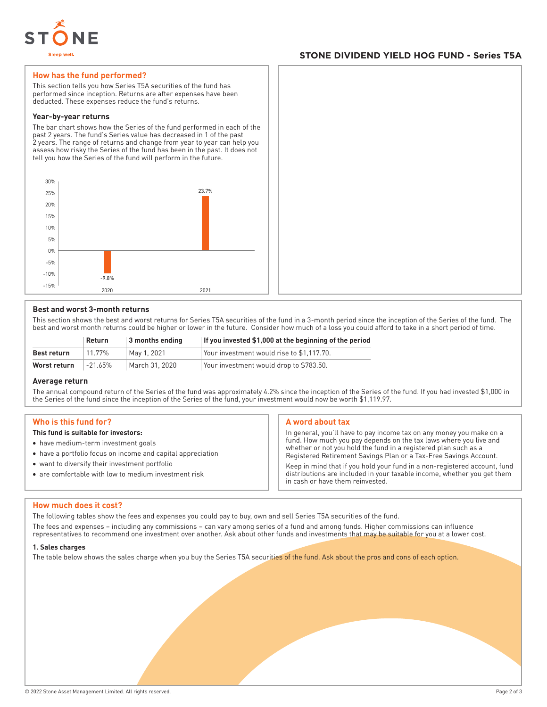

## **STONE DIVIDEND YIELD HOG FUND - Series T5A**

#### **How has the fund performed?**

This section tells you how Series T5A securities of the fund has performed since inception. Returns are after expenses have been deducted. These expenses reduce the fund's returns.

#### **Year-by-year returns**

The bar chart shows how the Series of the fund performed in each of the past 2 years. The fund's Series value has decreased in 1 of the past 2 years. The range of returns and change from year to year can help you assess how risky the Series of the fund has been in the past. It does not tell you how the Series of the fund will perform in the future.



#### **Best and worst 3-month returns**

This section shows the best and worst returns for Series T5A securities of the fund in a 3-month period since the inception of the Series of the fund. The best and worst month returns could be higher or lower in the future. Consider how much of a loss you could afford to take in a short period of time.

|              | Return  | $\vert$ 3 months ending | If you invested \$1,000 at the beginning of the period |
|--------------|---------|-------------------------|--------------------------------------------------------|
| Best return  | 11.77%  | May 1, 2021             | Your investment would rise to \$1.117.70.              |
| Worst return | -21.65% | March 31, 2020          | Your investment would drop to \$783.50.                |

#### **Average return**

The annual compound return of the Series of the fund was approximately 4.2% since the inception of the Series of the fund. If you had invested \$1,000 in the Series of the fund since the inception of the Series of the fund, your investment would now be worth \$1,119.97.

#### **Who is this fund for?**

#### **This fund is suitable for investors:**

- have medium-term investment goals
- have a portfolio focus on income and capital appreciation
- want to diversify their investment portfolio
- are comfortable with low to medium investment risk

#### **A word about tax**

In general, you'll have to pay income tax on any money you make on a fund. How much you pay depends on the tax laws where you live and whether or not you hold the fund in a registered plan such as a Registered Retirement Savings Plan or a Tax-Free Savings Account.

Keep in mind that if you hold your fund in a non-registered account, fund distributions are included in your taxable income, whether you get them in cash or have them reinvested.

#### **How much does it cost?**

The following tables show the fees and expenses you could pay to buy, own and sell Series T5A securities of the fund.

The fees and expenses – including any commissions – can vary among series of a fund and among funds. Higher commissions can influence representatives to recommend one investment over another. Ask about other funds and investments that may be suitable for you at a lower cost.

#### **1. Sales charges**

The table below shows the sales charge when you buy the Series T5A securities of the fund. Ask about the pros and cons of each option.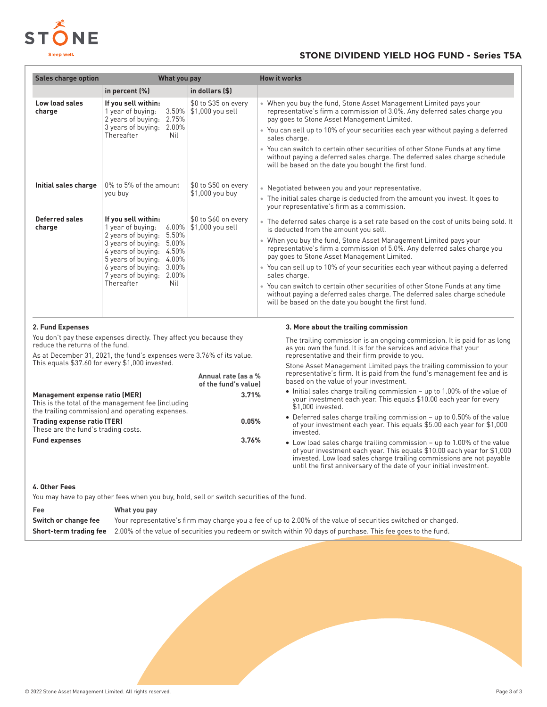

## **STONE DIVIDEND YIELD HOG FUND - Series T5A**

| Sales charge option                                                                                                                                                             | What you pay                                                                                                 |                                             | <b>How it works</b>                                                                                                                                                                                                                                                                              |
|---------------------------------------------------------------------------------------------------------------------------------------------------------------------------------|--------------------------------------------------------------------------------------------------------------|---------------------------------------------|--------------------------------------------------------------------------------------------------------------------------------------------------------------------------------------------------------------------------------------------------------------------------------------------------|
|                                                                                                                                                                                 | in percent (%)                                                                                               | in dollars (\$)                             |                                                                                                                                                                                                                                                                                                  |
| Low load sales<br>charge                                                                                                                                                        | If you sell within:<br>3.50%<br>1 year of buying:<br>2 years of buying: 2.75%                                | \$0 to \$35 on every<br>\$1,000 you sell    | • When you buy the fund, Stone Asset Management Limited pays your<br>representative's firm a commission of 3.0%. Any deferred sales charge you<br>pay goes to Stone Asset Management Limited.                                                                                                    |
|                                                                                                                                                                                 | 3 years of buying: 2.00%<br>Thereafter<br>Nil                                                                |                                             | • You can sell up to 10% of your securities each year without paying a deferred<br>sales charge.                                                                                                                                                                                                 |
|                                                                                                                                                                                 |                                                                                                              |                                             | • You can switch to certain other securities of other Stone Funds at any time<br>without paying a deferred sales charge. The deferred sales charge schedule<br>will be based on the date you bought the first fund.                                                                              |
| Initial sales charge                                                                                                                                                            | 0% to 5% of the amount<br>\$0 to \$50 on every                                                               |                                             | • Negotiated between you and your representative.                                                                                                                                                                                                                                                |
|                                                                                                                                                                                 | you buy                                                                                                      | \$1,000 you buy                             | • The initial sales charge is deducted from the amount you invest. It goes to<br>your representative's firm as a commission.                                                                                                                                                                     |
| <b>Deferred sales</b><br>charge                                                                                                                                                 | If you sell within:<br>1 year of buying:<br>$6.00\%$                                                         | \$0 to \$60 on every<br>\$1,000 you sell    | • The deferred sales charge is a set rate based on the cost of units being sold. It<br>is deducted from the amount you sell.                                                                                                                                                                     |
|                                                                                                                                                                                 | 2 years of buying: 5.50%<br>3 years of buying: 5.00%<br>4 years of buying: 4.50%<br>5 years of buying: 4.00% |                                             | • When you buy the fund, Stone Asset Management Limited pays your<br>representative's firm a commission of 5.0%. Any deferred sales charge you<br>pay goes to Stone Asset Management Limited.                                                                                                    |
|                                                                                                                                                                                 | 6 years of buying: 3.00%<br>7 years of buying: 2.00%<br>Thereafter<br>Nil                                    |                                             | • You can sell up to 10% of your securities each year without paying a deferred<br>sales charge.                                                                                                                                                                                                 |
|                                                                                                                                                                                 |                                                                                                              |                                             | • You can switch to certain other securities of other Stone Funds at any time<br>without paying a deferred sales charge. The deferred sales charge schedule<br>will be based on the date you bought the first fund.                                                                              |
| 2. Fund Expenses                                                                                                                                                                |                                                                                                              |                                             | 3. More about the trailing commission                                                                                                                                                                                                                                                            |
| You don't pay these expenses directly. They affect you because they<br>reduce the returns of the fund.<br>As at December 31, 2021, the fund's expenses were 3.76% of its value. |                                                                                                              |                                             | The trailing commission is an ongoing commission. It is paid for as long<br>as you own the fund. It is for the services and advice that your<br>representative and their firm provide to you.                                                                                                    |
|                                                                                                                                                                                 | This equals \$37.60 for every \$1,000 invested.                                                              | Annual rate las a %<br>of the fund's value) | Stone Asset Management Limited pays the trailing commission to your<br>representative's firm. It is paid from the fund's management fee and is<br>based on the value of your investment.                                                                                                         |
| Management expense ratio (MER)<br>3.71%<br>This is the total of the management fee (including<br>the trailing commission) and operating expenses.                               |                                                                                                              |                                             | • Initial sales charge trailing commission - up to 1.00% of the value of<br>your investment each year. This equals \$10.00 each year for every<br>\$1,000 invested.                                                                                                                              |
| <b>Trading expense ratio (TER)</b><br>0.05%<br>These are the fund's trading costs.                                                                                              |                                                                                                              |                                             | • Deferred sales charge trailing commission – up to 0.50% of the value<br>of your investment each year. This equals \$5.00 each year for \$1,000<br>invested.                                                                                                                                    |
| <b>Fund expenses</b>                                                                                                                                                            |                                                                                                              | 3.76%                                       | • Low load sales charge trailing commission – up to 1.00% of the value<br>of your investment each year. This equals \$10.00 each year for \$1,000<br>invested. Low load sales charge trailing commissions are not payable<br>until the first anniversary of the date of your initial investment. |

### **4. Other Fees**

You may have to pay other fees when you buy, hold, sell or switch securities of the fund.

**Fee What you pay Switch or change fee** Your representative's firm may charge you a fee of up to 2.00% of the value of securities switched or changed. **Short-term trading fee** 2.00% of the value of securities you redeem or switch within 90 days of purchase. This fee goes to the fund.